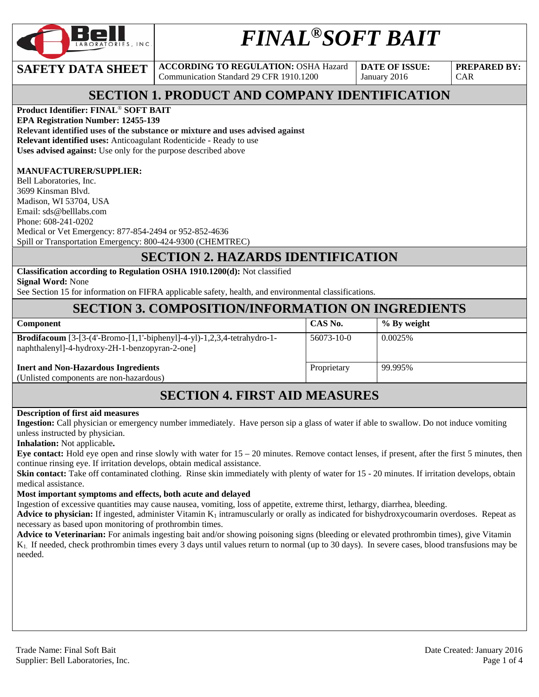

# *FINAL®SOFT BAIT*

**SAFETY DATA SHEET ACCORDING TO REGULATION: OSHA Hazard** Communication Standard 29 CFR 1910.1200

**DATE OF ISSUE:**  January 2016

**PREPARED BY:**  CAR

# **SECTION 1. PRODUCT AND COMPANY IDENTIFICATION**

**Product Identifier: FINAL**® **SOFT BAIT** 

**EPA Registration Number: 12455-139 Relevant identified uses of the substance or mixture and uses advised against Relevant identified uses:** Anticoagulant Rodenticide - Ready to use **Uses advised against:** Use only for the purpose described above

#### **MANUFACTURER/SUPPLIER:**

Bell Laboratories, Inc. 3699 Kinsman Blvd. Madison, WI 53704, USA Email: sds@belllabs.com Phone: 608-241-0202 Medical or Vet Emergency: 877-854-2494 or 952-852-4636 Spill or Transportation Emergency: 800-424-9300 (CHEMTREC)

#### **SECTION 2. HAZARDS IDENTIFICATION**

**Classification according to Regulation OSHA 1910.1200(d):** Not classified **Signal Word:** None

See Section 15 for information on FIFRA applicable safety, health, and environmental classifications.

# **SECTION 3. COMPOSITION/INFORMATION ON INGREDIENTS**

| <b>Component</b>                                                                                                                 | CAS No.     | % By weight |
|----------------------------------------------------------------------------------------------------------------------------------|-------------|-------------|
| <b>Brodifacoum</b> [3-[3-(4'-Bromo-[1,1'-biphenyl]-4-yl)-1,2,3,4-tetrahydro-1-<br>naphthalenyl]-4-hydroxy-2H-1-benzopyran-2-one] | 56073-10-0  | 0.0025%     |
| <b>Inert and Non-Hazardous Ingredients</b><br>(Unlisted components are non-hazardous)                                            | Proprietary | 99.995%     |

# **SECTION 4. FIRST AID MEASURES**

#### **Description of first aid measures**

**Ingestion:** Call physician or emergency number immediately. Have person sip a glass of water if able to swallow. Do not induce vomiting unless instructed by physician.

**Inhalation:** Not applicable**.** 

**Eye contact:** Hold eye open and rinse slowly with water for 15 – 20 minutes. Remove contact lenses, if present, after the first 5 minutes, then continue rinsing eye. If irritation develops, obtain medical assistance.

**Skin contact:** Take off contaminated clothing. Rinse skin immediately with plenty of water for 15 - 20 minutes. If irritation develops, obtain medical assistance.

#### **Most important symptoms and effects, both acute and delayed**

Ingestion of excessive quantities may cause nausea, vomiting, loss of appetite, extreme thirst, lethargy, diarrhea, bleeding.

**Advice to physician:** If ingested, administer Vitamin  $K_1$  intramuscularly or orally as indicated for bishydroxycoumarin overdoses. Repeat as necessary as based upon monitoring of prothrombin times.

**Advice to Veterinarian:** For animals ingesting bait and/or showing poisoning signs (bleeding or elevated prothrombin times), give Vitamin K1. If needed, check prothrombin times every 3 days until values return to normal (up to 30 days). In severe cases, blood transfusions may be needed.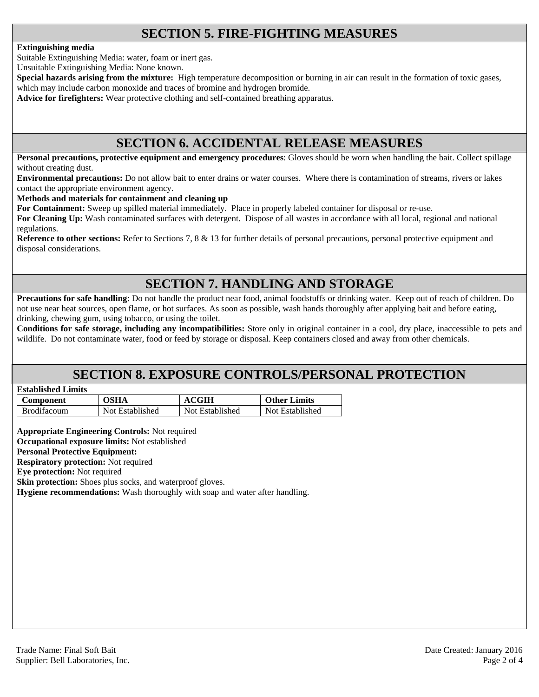# **SECTION 5. FIRE-FIGHTING MEASURES**

#### **Extinguishing media**

Suitable Extinguishing Media: water, foam or inert gas.

Unsuitable Extinguishing Media: None known.

**Special hazards arising from the mixture:** High temperature decomposition or burning in air can result in the formation of toxic gases, which may include carbon monoxide and traces of bromine and hydrogen bromide.

**Advice for firefighters:** Wear protective clothing and self-contained breathing apparatus.

## **SECTION 6. ACCIDENTAL RELEASE MEASURES**

**Personal precautions, protective equipment and emergency procedures**: Gloves should be worn when handling the bait. Collect spillage without creating dust.

**Environmental precautions:** Do not allow bait to enter drains or water courses. Where there is contamination of streams, rivers or lakes contact the appropriate environment agency.

**Methods and materials for containment and cleaning up**

**For Containment:** Sweep up spilled material immediately. Place in properly labeled container for disposal or re-use.

**For Cleaning Up:** Wash contaminated surfaces with detergent. Dispose of all wastes in accordance with all local, regional and national regulations.

**Reference to other sections:** Refer to Sections 7, 8 & 13 for further details of personal precautions, personal protective equipment and disposal considerations.

# **SECTION 7. HANDLING AND STORAGE**

**Precautions for safe handling**: Do not handle the product near food, animal foodstuffs or drinking water. Keep out of reach of children. Do not use near heat sources, open flame, or hot surfaces. As soon as possible, wash hands thoroughly after applying bait and before eating, drinking, chewing gum, using tobacco, or using the toilet.

**Conditions for safe storage, including any incompatibilities:** Store only in original container in a cool, dry place, inaccessible to pets and wildlife. Do not contaminate water, food or feed by storage or disposal. Keep containers closed and away from other chemicals.

## **SECTION 8. EXPOSURE CONTROLS/PERSONAL PROTECTION**

|--|

| Component          | <b>OSHA</b>     | <b>ACGIH</b>    | <b>Other Limits</b> |
|--------------------|-----------------|-----------------|---------------------|
| <b>Brodifacoum</b> | Not Established | Not Established | Not Established     |

**Appropriate Engineering Controls:** Not required **Occupational exposure limits:** Not established

**Personal Protective Equipment:** 

**Respiratory protection:** Not required

**Eye protection:** Not required

**Skin protection:** Shoes plus socks, and waterproof gloves.

**Hygiene recommendations:** Wash thoroughly with soap and water after handling.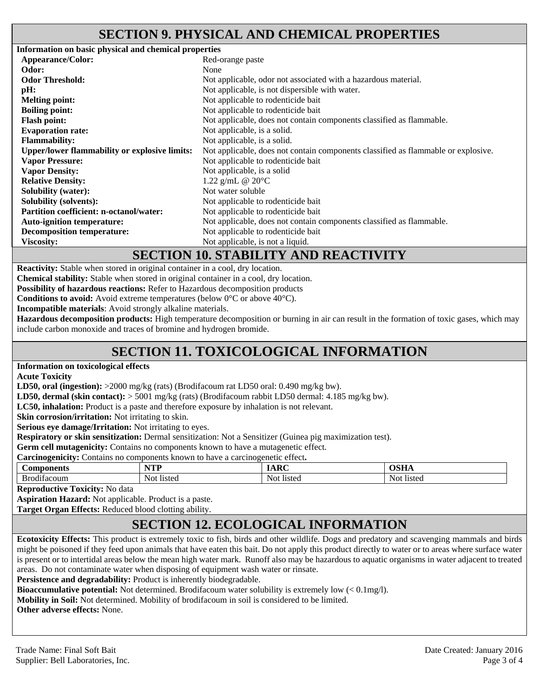## **SECTION 9. PHYSICAL AND CHEMICAL PROPERTIES**

**Information on basic physical and chemical properties Appearance/Color:** Red-orange paste **Odor:** None **Odor Threshold: Not** applicable, odor not associated with a hazardous material. **pH:** Not applicable, is not dispersible with water. **Melting point:** Not applicable to rodenticide bait **Boiling point:** Not applicable to rodenticide bait **Flash point:** Not applicable, does not contain components classified as flammable. **Evaporation rate:** Not applicable, is a solid. **Flammability:** Not applicable, is a solid. **Upper/lower flammability or explosive limits:** Not applicable, does not contain components classified as flammable or explosive. **Vapor Pressure: Vapor Density:**  Not applicable to rodenticide bait Not applicable, is a solid **Relative Density:** 1.22 g/mL @ 20°C **Solubility (water):** Not water soluble **Solubility (solvents):** Not applicable to rodenticide bait **Partition coefficient: n-octanol/water:** Not applicable to rodenticide bait Auto-ignition temperature: Not applicable, does not contain components classified as flammable. **Decomposition temperature:** Not applicable to rodenticide bait **Viscosity:** Not applicable, is not a liquid.

#### **SECTION 10. STABILITY AND REACTIVITY**

**Reactivity:** Stable when stored in original container in a cool, dry location.

**Chemical stability:** Stable when stored in original container in a cool, dry location.

**Possibility of hazardous reactions:** Refer to Hazardous decomposition products

**Conditions to avoid:** Avoid extreme temperatures (below 0°C or above 40°C).

**Incompatible materials**: Avoid strongly alkaline materials.

**Hazardous decomposition products:** High temperature decomposition or burning in air can result in the formation of toxic gases, which may include carbon monoxide and traces of bromine and hydrogen bromide.

# **SECTION 11. TOXICOLOGICAL INFORMATION**

**Information on toxicological effects** 

**Acute Toxicity** 

**LD50, oral (ingestion):** >2000 mg/kg (rats) (Brodifacoum rat LD50 oral: 0.490 mg/kg bw).

**LD50, dermal (skin contact):** > 5001 mg/kg (rats) (Brodifacoum rabbit LD50 dermal: 4.185 mg/kg bw).

**LC50, inhalation:** Product is a paste and therefore exposure by inhalation is not relevant.

**Skin corrosion/irritation:** Not irritating to skin.

**Serious eye damage/Irritation:** Not irritating to eyes.

**Respiratory or skin sensitization:** Dermal sensitization: Not a Sensitizer (Guinea pig maximization test).

**Germ cell mutagenicity:** Contains no components known to have a mutagenetic effect.

**Carcinogenicity:** Contains no components known to have a carcinogenetic effect**.** 

| `omponents<br>™ Ј∪д.    | VTT<br>n<br>. | $\sqrt{2}$      | $\sim$ $\sim$ $\sim$<br>1011 |
|-------------------------|---------------|-----------------|------------------------------|
| .<br>D<br>Кn<br>тасоип. | listec<br>Not | Not<br>I<br>wou | Not<br>listec                |

**Reproductive Toxicity:** No data

**Aspiration Hazard:** Not applicable. Product is a paste.

**Target Organ Effects:** Reduced blood clotting ability.

# **SECTION 12. ECOLOGICAL INFORMATION**

**Ecotoxicity Effects:** This product is extremely toxic to fish, birds and other wildlife. Dogs and predatory and scavenging mammals and birds might be poisoned if they feed upon animals that have eaten this bait. Do not apply this product directly to water or to areas where surface water is present or to intertidal areas below the mean high water mark. Runoff also may be hazardous to aquatic organisms in water adjacent to treated areas. Do not contaminate water when disposing of equipment wash water or rinsate.

Persistence and degradability: Product is inherently biodegradable.

**Bioaccumulative potential:** Not determined. Brodifacoum water solubility is extremely low (< 0.1mg/l).

**Mobility in Soil:** Not determined. Mobility of brodifacoum in soil is considered to be limited.

**Other adverse effects:** None.